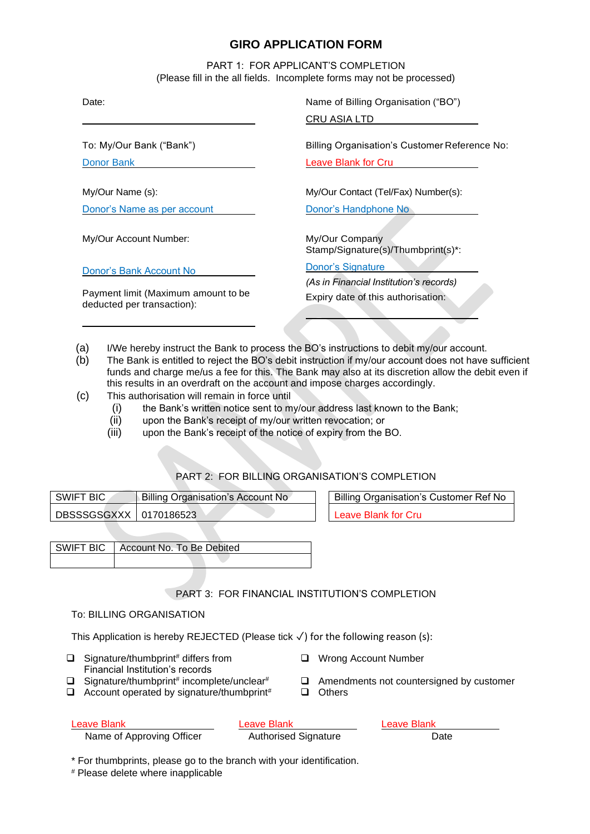# **GIRO APPLICATION FORM**

PART 1: FOR APPLICANT'S COMPLETION (Please fill in the all fields. Incomplete forms may not be processed)

To: My/Our Bank ("Bank")

Donor Bank

My/Our Name (s):

Donor's Name as per account

My/Our Account Number:

Donor's Bank Account No

Payment limit (Maximum amount to be deducted per transaction):

Date: Name of Billing Organisation ("BO")

CRU ASIA LTD

Billing Organisation's Customer Reference No:

Leave Blank for Cru

My/Our Contact (Tel/Fax) Number(s):

Donor's Handphone No

My/Our Company Stamp/Signature(s)/Thumbprint(s)\*:

Donor's Signature

*(As in Financial Institution's records)* Expiry date of this authorisation:

- (a) I/We hereby instruct the Bank to process the BO's instructions to debit my/our account.
- (b) The Bank is entitled to reject the BO's debit instruction if my/our account does not have sufficient funds and charge me/us a fee for this. The Bank may also at its discretion allow the debit even if this results in an overdraft on the account and impose charges accordingly.
- (c) This authorisation will remain in force until
	- (i) the Bank's written notice sent to my/our address last known to the Bank;
	- (ii) upon the Bank's receipt of my/our written revocation; or
	- (iii) upon the Bank's receipt of the notice of expiry from the BO.

## PART 2: FOR BILLING ORGANISATION'S COMPLETION

| SWIFT BIC                | <b>Billing Organisation's Account No</b> |  |
|--------------------------|------------------------------------------|--|
| DBSSSGSGXXX   0170186523 |                                          |  |

Billing Organisation's Customer Ref No eave Blank for Cru

| SWIFT BIC   Account No. To Be Debited |
|---------------------------------------|
|                                       |

## PART 3: FOR FINANCIAL INSTITUTION'S COMPLETION

### To: BILLING ORGANISATION

This Application is hereby REJECTED (Please tick ✓) for the following reason (s):

- ❑ Signature/thumbprint# differs from Financial Institution's records
- $\Box$  Signature/thumbprint# incomplete/unclear#
- $\Box$  Account operated by signature/thumbprint#  $\Box$  Others
- ❑ Wrong Account Number
- □ Amendments not countersigned by customer
	-

| Leave Blank               | Leave Blank                 | Leave Blank |
|---------------------------|-----------------------------|-------------|
| Name of Approving Officer | <b>Authorised Signature</b> | Date        |

\* For thumbprints, please go to the branch with your identification.

# Please delete where inapplicable